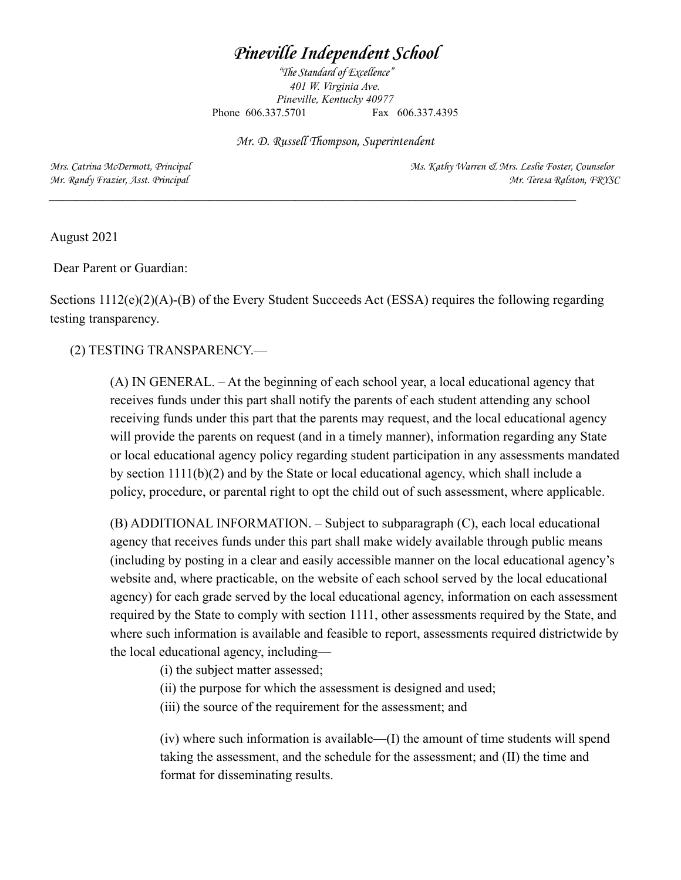## *Pineville Independent School*

*"The Standard of Excellence" 401 W. Virginia Ave. Pineville, Kentucky 40977* Phone 606.337.5701 Fax 606.337.4395

Mr. D. Russell Thompson, Superintendent

 $\mathcal{L} = \{ \mathcal{L} \mathcal{L} \mathcal{L} \mathcal{L} \mathcal{L} \mathcal{L} \mathcal{L} \mathcal{L} \mathcal{L} \mathcal{L} \mathcal{L} \mathcal{L} \mathcal{L} \mathcal{L} \mathcal{L} \mathcal{L} \mathcal{L} \mathcal{L} \mathcal{L} \mathcal{L} \mathcal{L} \mathcal{L} \mathcal{L} \mathcal{L} \mathcal{L} \mathcal{L} \mathcal{L} \mathcal{L} \mathcal{L} \mathcal{L} \mathcal{L} \mathcal{L} \mathcal{L} \mathcal{L} \mathcal{L} \$ 

Mrs. Catrina McDermott, Principal Ms. Kathy Warren & Mrs. Leslie Foster, Counselor Mr. Randy Frazier, Asst. Principal and Mr. Teresa Ralston, FRYSC

August 2021

Dear Parent or Guardian:

Sections 1112(e)(2)(A)-(B) of the Every Student Succeeds Act (ESSA) requires the following regarding testing transparency.

## (2) TESTING TRANSPARENCY.—

(A) IN GENERAL. – At the beginning of each school year, a local educational agency that receives funds under this part shall notify the parents of each student attending any school receiving funds under this part that the parents may request, and the local educational agency will provide the parents on request (and in a timely manner), information regarding any State or local educational agency policy regarding student participation in any assessments mandated by section  $111(16)(2)$  and by the State or local educational agency, which shall include a policy, procedure, or parental right to opt the child out of such assessment, where applicable.

(B) ADDITIONAL INFORMATION. – Subject to subparagraph (C), each local educational agency that receives funds under this part shall make widely available through public means (including by posting in a clear and easily accessible manner on the local educational agency's website and, where practicable, on the website of each school served by the local educational agency) for each grade served by the local educational agency, information on each assessment required by the State to comply with section 1111, other assessments required by the State, and where such information is available and feasible to report, assessments required districtwide by the local educational agency, including—

(i) the subject matter assessed;

- (ii) the purpose for which the assessment is designed and used;
- (iii) the source of the requirement for the assessment; and

 $(iv)$  where such information is available— $(I)$  the amount of time students will spend taking the assessment, and the schedule for the assessment; and (II) the time and format for disseminating results.